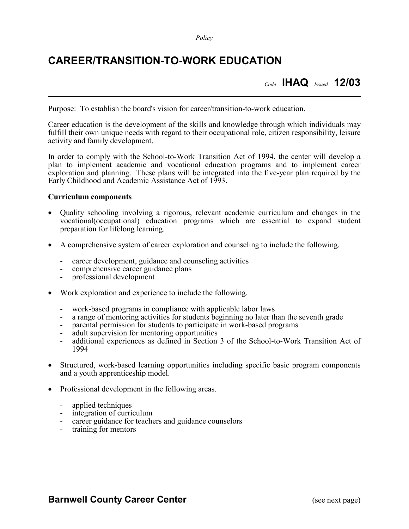*Policy*

## **CAREER/TRANSITION-TO-WORK EDUCATION**

*Code* **IHAQ** *Issued* **12/03**

Purpose: To establish the board's vision for career/transition-to-work education.

Career education is the development of the skills and knowledge through which individuals may fulfill their own unique needs with regard to their occupational role, citizen responsibility, leisure activity and family development.

In order to comply with the School-to-Work Transition Act of 1994, the center will develop a plan to implement academic and vocational education programs and to implement career exploration and planning. These plans will be integrated into the five-year plan required by the Early Childhood and Academic Assistance Act of 1993.

## **Curriculum components**

- Quality schooling involving a rigorous, relevant academic curriculum and changes in the vocational(occupational) education programs which are essential to expand student preparation for lifelong learning.
- A comprehensive system of career exploration and counseling to include the following.
	- career development, guidance and counseling activities comprehensive career guidance plans  $\text{professional}$
	-
	-
- Work exploration and experience to include the following.
	-
	-
	-
	-
	- work-based programs in compliance with applicable labor laws<br>a range of mentoring activities for students beginning no later than the seventh grade<br>parental permission for students to participate in work-based programs<br>adu 1994
- Structured, work-based learning opportunities including specific basic program components and a youth apprenticeship model.
- Professional development in the following areas.
	- applied techniques
	- integration of curriculum
	- career guidance for teachers and guidance counselors
	- training for mentors